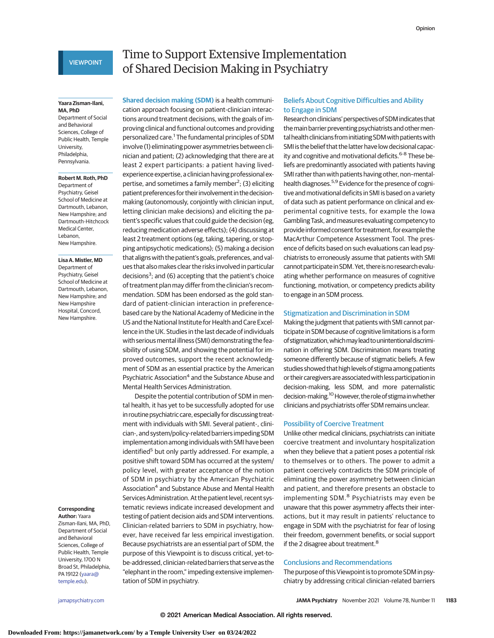## **VIEWPOINT**

### **Yaara Zisman-Ilani, MA, PhD**

Department of Social and Behavioral Sciences, College of Public Health, Temple University, **Philadelphia** Pennsylvania.

## **Robert M. Roth, PhD**

Department of Psychiatry, Geisel School of Medicine at Dartmouth, Lebanon New Hampshire; and Dartmouth-Hitchcock Medical Center, Lebanon, New Hampshire.

#### **Lisa A. Mistler, MD**

Department of Psychiatry, Geisel School of Medicine at Dartmouth, Lebanon, New Hampshire; and New Hampshire Hospital, Concord, New Hampshire.

## **Corresponding**

**Author:** Yaara Zisman-Ilani, MA, PhD, Department of Social and Behavioral Sciences, College of Public Health, Temple University, 1700 N Broad St, Philadelphia, PA 19122 [\(yaara@](mailto:yaara@temple.edu) [temple.edu\)](mailto:yaara@temple.edu).

# Time to Support Extensive Implementation of Shared Decision Making in Psychiatry

**Shared decision making (SDM)** is a health communication approach focusing on patient-clinician interactions around treatment decisions, with the goals of improving clinical and functional outcomes and providing personalized care.<sup>1</sup> The fundamental principles of SDM involve (1) eliminating power asymmetries between clinician and patient; (2) acknowledging that there are at least 2 expert participants: a patient having livedexperience expertise, a clinician having professional expertise, and sometimes a family member<sup>2</sup>; (3) eliciting patient preferences for their involvement in the decisionmaking (autonomously, conjointly with clinician input, letting clinician make decisions) and eliciting the patient's specific values that could guide the decision (eg, reducing medication adverse effects); (4) discussing at least 2 treatment options (eg, taking, tapering, or stopping antipsychotic medications); (5) making a decision that aligns with the patient's goals, preferences, and values that also makes clear the risks involved in particular decisions<sup>3</sup>; and (6) accepting that the patient's choice of treatment plan may differ from the clinician's recommendation. SDM has been endorsed as the gold standard of patient-clinician interaction in preferencebased care by the National Academy of Medicine in the US and the National Institute for Health and Care Excellence in the UK. Studies in the last decade of individuals with serious mental illness (SMI) demonstrating the feasibility of using SDM, and showing the potential for improved outcomes, support the recent acknowledgment of SDM as an essential practice by the American Psychiatric Association<sup>4</sup> and the Substance Abuse and Mental Health Services Administration.

Despite the potential contribution of SDM in mental health, it has yet to be successfully adopted for use in routine psychiatric care, especially for discussing treatment with individuals with SMI. Several patient-, clinician-, and system/policy-related barriers impeding SDM implementation among individuals with SMI have been identified<sup>5</sup> but only partly addressed. For example, a positive shift toward SDM has occurred at the system/ policy level, with greater acceptance of the notion of SDM in psychiatry by the American Psychiatric Association<sup>4</sup> and Substance Abuse and Mental Health Services Administration. At the patient level, recent systematic reviews indicate increased development and testing of patient decision aids and SDM interventions. Clinician-related barriers to SDM in psychiatry, however, have received far less empirical investigation. Because psychiatrists are an essential part of SDM, the purpose of this Viewpoint is to discuss critical, yet-tobe-addressed, clinician-related barriers that serve as the "elephant in the room," impeding extensive implementation of SDM in psychiatry.

## Beliefs About Cognitive Difficulties and Ability to Engage in SDM

Research on clinicians' perspectives of SDM indicates that the main barrier preventing psychiatrists and other mental health clinicians from initiating SDM with patients with SMI is the belief that the latter have low decisional capacity and cognitive and motivational deficits.<sup>6-8</sup> These beliefs are predominantly associated with patients having SMI rather than with patients having other, non–mentalhealth diagnoses.<sup>5,9</sup> Evidence for the presence of cognitive and motivational deficits in SMI is based on a variety of data such as patient performance on clinical and experimental cognitive tests, for example the Iowa Gambling Task, andmeasures evaluating competency to provide informed consent for treatment, forexample the MacArthur Competence Assessment Tool. The presence of deficits based on such evaluations can lead psychiatrists to erroneously assume that patients with SMI cannot participate in SDM. Yet, there is no research evaluating whether performance on measures of cognitive functioning, motivation, or competency predicts ability to engage in an SDM process.

## Stigmatization and Discrimination in SDM

Making the judgment that patients with SMI cannot participate in SDM because of cognitive limitations is a form ofstigmatization,whichmaylead tounintentionaldiscrimination in offering SDM. Discrimination means treating someone differently because of stigmatic beliefs. A few studies showed that high levels of stigma among patients or their caregiversareassociatedwith less participation in decision-making, less SDM, and more paternalistic decision-making.<sup>10</sup> However, the role of stigma in whether clinicians and psychiatrists offer SDM remains unclear.

## Possibility of Coercive Treatment

Unlike other medical clinicians, psychiatrists can initiate coercive treatment and involuntary hospitalization when they believe that a patient poses a potential risk to themselves or to others. The power to admit a patient coercively contradicts the SDM principle of eliminating the power asymmetry between clinician and patient, and therefore presents an obstacle to implementing SDM.<sup>8</sup> Psychiatrists may even be unaware that this power asymmetry affects their interactions, but it may result in patients' reluctance to engage in SDM with the psychiatrist for fear of losing their freedom, government benefits, or social support if the 2 disagree about treatment.<sup>8</sup>

## Conclusions and Recommendations

The purpose of this Viewpoint is to promote SDM in psychiatry by addressing critical clinician-related barriers